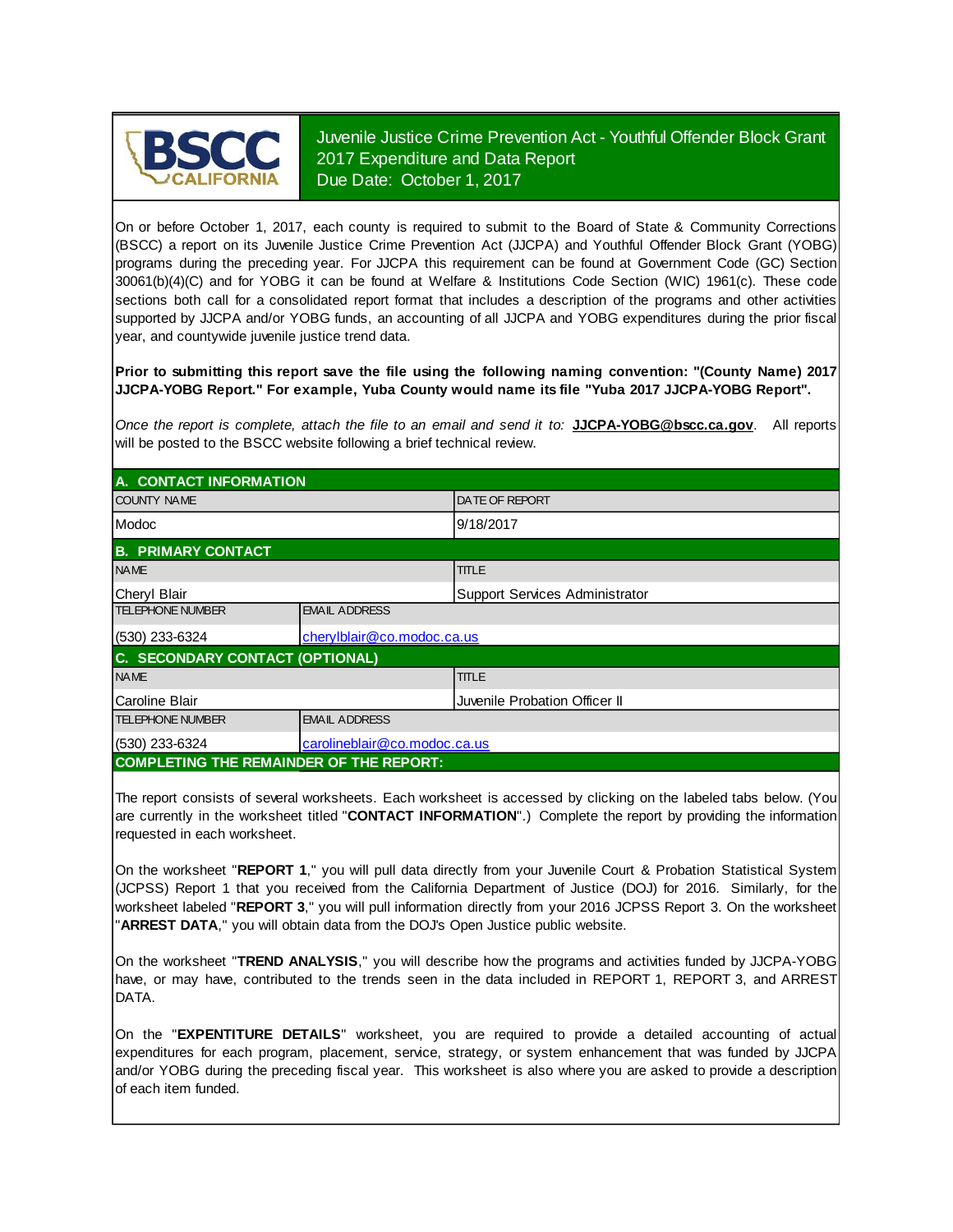

Juvenile Justice Crime Prevention Act - Youthful Offender Block Grant 2017 Expenditure and Data Report Due Date: October 1, 2017

On or before October 1, 2017, each county is required to submit to the Board of State & Community Corrections (BSCC) <sup>a</sup> report on its Juvenile Justice Crime Prevention Act (JJCPA) and Youthful Offender Block Grant (YOBG) programs during the preceding year. For JJCPA this requirement can be found at Government Code (GC) Section 30061(b)(4)(C) and for YOBG it can be found at Welfare & Institutions Code Section (WIC) 1961(c). These code sections both call for <sup>a</sup> consolidated report format that includes <sup>a</sup> description of the programs and other activities supported by JJCPA and/or YOBG funds, an accounting of all JJCPA and YOBG expenditures during the prior fiscal year, and countywide juvenile justice trend data.

**Prior to submitting this report save the file using the following naming convention: "(County Name) 2017 JJCPA-YOBG Report." For example, Yuba County would name its file "Yuba 2017 JJCPA-YOBG Report".**

*Once the report is complete, attach the file t o an email and send it to:* **JJCPA-YOBG@bscc.ca.gov**. All reports will be posted to the BSCC website following a brief technical review.

| A. CONTACT INFORMATION                         |                               |                                |  |  |  |
|------------------------------------------------|-------------------------------|--------------------------------|--|--|--|
| <b>COUNTY NAME</b>                             |                               | <b>IDATE OF REPORT</b>         |  |  |  |
| Modoc                                          |                               | 9/18/2017                      |  |  |  |
| <b>B. PRIMARY CONTACT</b>                      |                               |                                |  |  |  |
| <b>NAME</b>                                    |                               | <b>TITLE</b>                   |  |  |  |
| Cheryl Blair                                   |                               | Support Services Administrator |  |  |  |
| <b>TELEPHONE NUMBER</b>                        | <b>EMAIL ADDRESS</b>          |                                |  |  |  |
| $(530)$ 233-6324                               | cherylblair@co.modoc.ca.us    |                                |  |  |  |
| <b>C. SECONDARY CONTACT (OPTIONAL)</b>         |                               |                                |  |  |  |
| <b>NAME</b>                                    |                               | <b>TITLE</b>                   |  |  |  |
| Caroline Blair                                 | Juvenile Probation Officer II |                                |  |  |  |
| <b>TELEPHONE NUMBER</b>                        | <b>EMAIL ADDRESS</b>          |                                |  |  |  |
| $(530)$ 233-6324                               | carolineblair@co.modoc.ca.us  |                                |  |  |  |
| <b>COMPLETING THE REMAINDER OF THE REPORT:</b> |                               |                                |  |  |  |

The report consists of several worksheets. Each worksheet is accessed by clicking on the labeled tabs below. (You are currently in the worksheet titled "**CONTACT INFORMATION**".) Complete the report by providing the information requested in each worksheet.

On the worksheet "**REPORT 1**, " you will pull data directly from your Juvenile Court & Probation Statistical System (JCPSS) Report 1 that you received from the California Department of Justice (DOJ) for 2016. Similarly, for the worksheet labeled "**REPORT 3**, " you will pull information directly from your 2016 JCPSS Report 3. On the worksheet "**ARREST DATA**," you will obtain data from the DOJ's Open Justice public website.

On the worksheet "**TREND ANALYSIS**, " you will describe how the programs and activities funded by JJCPA-YOBG have, or may have, contributed to the trends seen in the data included in REPORT 1, REPORT 3, and ARREST DATA.

On the "EXPENTITURE DETAILS" worksheet, you are required to provide a detailed accounting of actual expenditures for each program, placement, service, strategy, or system enhancement that was funded by JJCPA and/or YOBG during the preceding fiscal year. This worksheet is also where you are asked to provide a description of each item funded.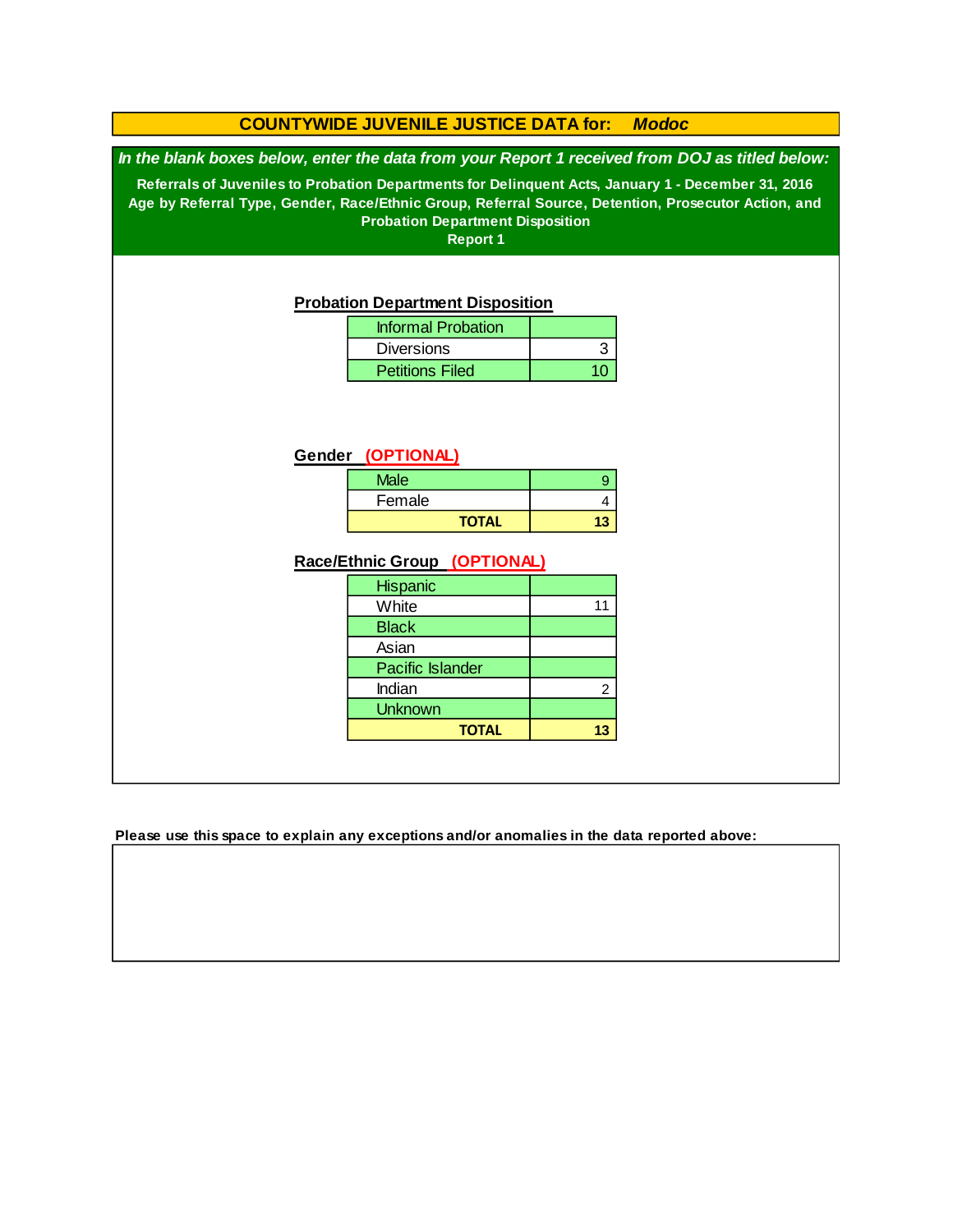# **Race/Ethnic Group (OPTIONAL)** 2  **13** Indian Unknown **TOTAL** Asian 4  **13 Hispanic** Pacific Islander Female White 11 **Black** Informal Probation Diversions 1 3 **TOTAL** 9 **Gender (OPTIONAL)** Male Petitions Filed 10 **COUNTYWIDE JUVENILE JUSTICE DATA for:** *Modoc In the blank boxes below, enter the data from your Report 1 received from DOJ as titled below:* **Probation Department Disposition Referrals of Juveniles to Probation Departments for Delinquent Acts, January 1 - December 31, 2016 Age by Referral Type, Gender, Race/Ethnic Group, Referral Source, Detention, Prosecutor Action, and Probation Department Disposition Report 1**

**Please use this space to explain any exceptions and/or anomalies in the data reported above:**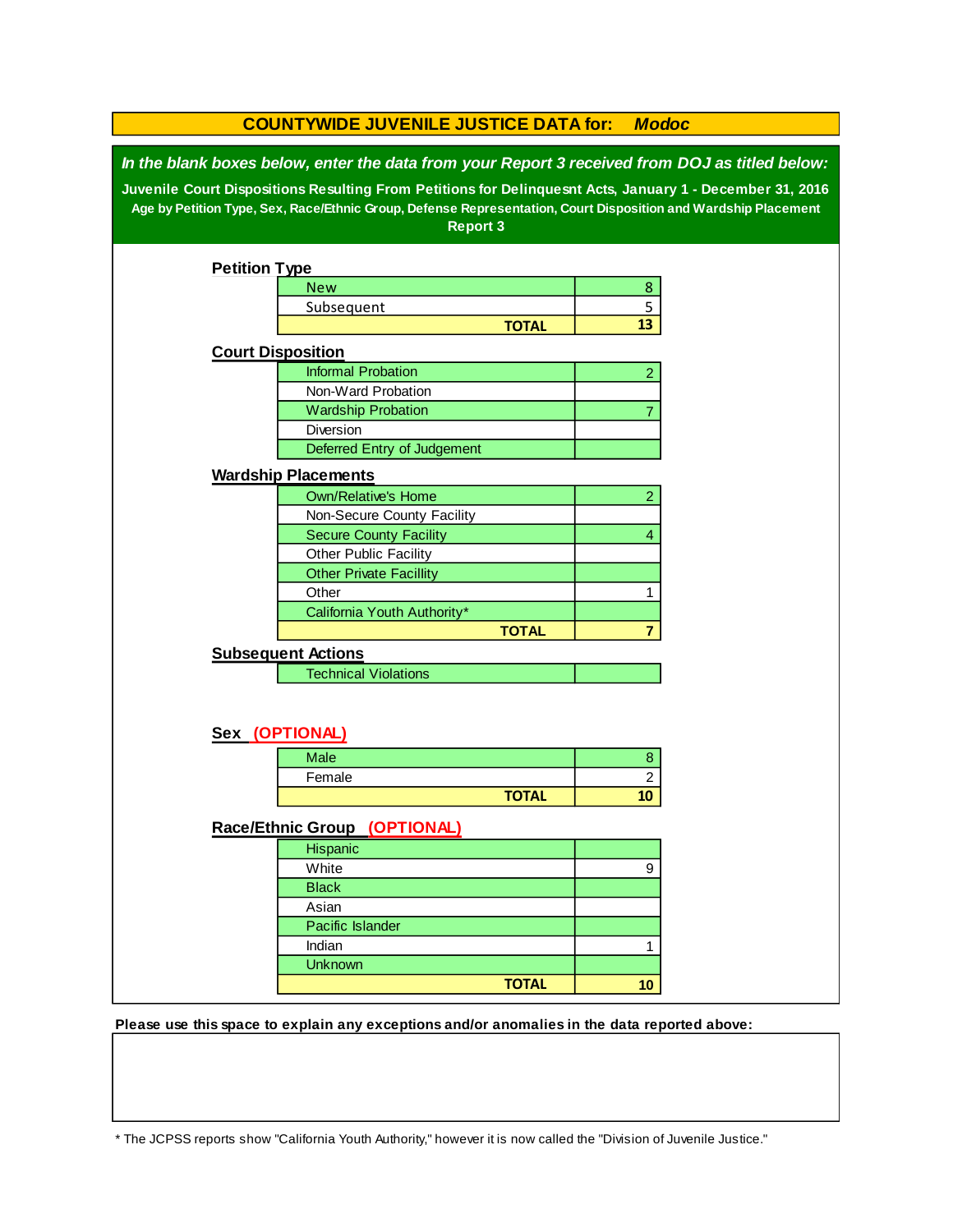| <b>COUNTYWIDE JUVENILE JUSTICE DATA for:</b><br><b>Modoc</b>                                                                                                                                                                                                                                                                             |                                                             |              |                         |  |  |  |
|------------------------------------------------------------------------------------------------------------------------------------------------------------------------------------------------------------------------------------------------------------------------------------------------------------------------------------------|-------------------------------------------------------------|--------------|-------------------------|--|--|--|
| In the blank boxes below, enter the data from your Report 3 received from DOJ as titled below:<br>Juvenile Court Dispositions Resulting From Petitions for Delinquesnt Acts, January 1 - December 31, 2016<br>Age by Petition Type, Sex, Race/Ethnic Group, Defense Representation, Court Disposition and Wardship Placement<br>Report 3 |                                                             |              |                         |  |  |  |
| <b>Petition Type</b>                                                                                                                                                                                                                                                                                                                     |                                                             |              |                         |  |  |  |
|                                                                                                                                                                                                                                                                                                                                          | <b>New</b>                                                  |              | 8                       |  |  |  |
|                                                                                                                                                                                                                                                                                                                                          | Subsequent                                                  |              | 5                       |  |  |  |
|                                                                                                                                                                                                                                                                                                                                          |                                                             | <b>TOTAL</b> | 13                      |  |  |  |
|                                                                                                                                                                                                                                                                                                                                          | <b>Court Disposition</b>                                    |              |                         |  |  |  |
|                                                                                                                                                                                                                                                                                                                                          | <b>Informal Probation</b>                                   |              | $\overline{a}$          |  |  |  |
|                                                                                                                                                                                                                                                                                                                                          | Non-Ward Probation                                          |              |                         |  |  |  |
|                                                                                                                                                                                                                                                                                                                                          | <b>Wardship Probation</b>                                   |              | $\overline{7}$          |  |  |  |
|                                                                                                                                                                                                                                                                                                                                          | Diversion                                                   |              |                         |  |  |  |
|                                                                                                                                                                                                                                                                                                                                          | Deferred Entry of Judgement                                 |              |                         |  |  |  |
|                                                                                                                                                                                                                                                                                                                                          | <b>Wardship Placements</b>                                  |              |                         |  |  |  |
|                                                                                                                                                                                                                                                                                                                                          | <b>Own/Relative's Home</b>                                  |              |                         |  |  |  |
|                                                                                                                                                                                                                                                                                                                                          |                                                             |              | $\overline{a}$          |  |  |  |
|                                                                                                                                                                                                                                                                                                                                          | Non-Secure County Facility<br><b>Secure County Facility</b> |              | 4                       |  |  |  |
|                                                                                                                                                                                                                                                                                                                                          | Other Public Facility                                       |              |                         |  |  |  |
|                                                                                                                                                                                                                                                                                                                                          | <b>Other Private Facillity</b>                              |              |                         |  |  |  |
|                                                                                                                                                                                                                                                                                                                                          | Other                                                       |              | 1                       |  |  |  |
|                                                                                                                                                                                                                                                                                                                                          | California Youth Authority*                                 |              |                         |  |  |  |
|                                                                                                                                                                                                                                                                                                                                          |                                                             | <b>TOTAL</b> | $\overline{7}$          |  |  |  |
|                                                                                                                                                                                                                                                                                                                                          | <b>Subsequent Actions</b>                                   |              |                         |  |  |  |
|                                                                                                                                                                                                                                                                                                                                          | <b>Technical Violations</b>                                 |              |                         |  |  |  |
|                                                                                                                                                                                                                                                                                                                                          |                                                             |              |                         |  |  |  |
|                                                                                                                                                                                                                                                                                                                                          | Sex (OPTIONAL)                                              |              |                         |  |  |  |
|                                                                                                                                                                                                                                                                                                                                          | <b>Male</b>                                                 |              | 8                       |  |  |  |
|                                                                                                                                                                                                                                                                                                                                          | Female                                                      |              | $\overline{\mathbf{c}}$ |  |  |  |
|                                                                                                                                                                                                                                                                                                                                          |                                                             | <b>TOTAL</b> | 10                      |  |  |  |
| Race/Ethnic Group (OPTIONAL)                                                                                                                                                                                                                                                                                                             |                                                             |              |                         |  |  |  |
|                                                                                                                                                                                                                                                                                                                                          | Hispanic                                                    |              |                         |  |  |  |
|                                                                                                                                                                                                                                                                                                                                          | White                                                       |              | 9                       |  |  |  |
|                                                                                                                                                                                                                                                                                                                                          | <b>Black</b>                                                |              |                         |  |  |  |
|                                                                                                                                                                                                                                                                                                                                          | Asian                                                       |              |                         |  |  |  |
|                                                                                                                                                                                                                                                                                                                                          | Pacific Islander                                            |              |                         |  |  |  |
|                                                                                                                                                                                                                                                                                                                                          | Indian                                                      |              | 1                       |  |  |  |
|                                                                                                                                                                                                                                                                                                                                          | Unknown                                                     |              |                         |  |  |  |
|                                                                                                                                                                                                                                                                                                                                          |                                                             | <b>TOTAL</b> | 10                      |  |  |  |
|                                                                                                                                                                                                                                                                                                                                          |                                                             |              |                         |  |  |  |

**Please use this space to explain any exceptions and/or anomalies in the data reported above:** 

\* The JCPSS reports show "California Youth Authority," however it is now called the "Division of Juvenile Justice."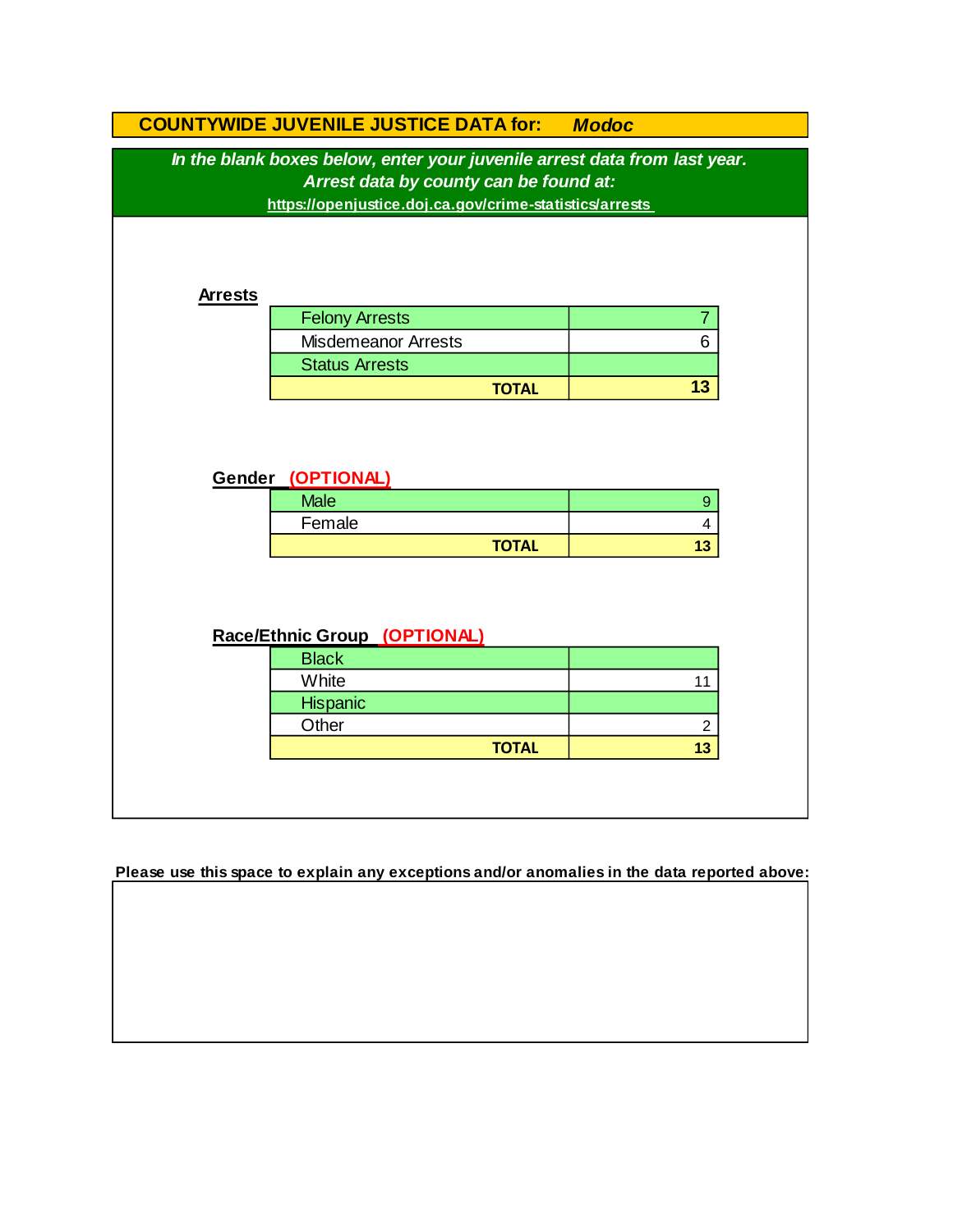|                | <b>COUNTYWIDE JUVENILE JUSTICE DATA for:</b>                                                                                                                                   | <b>Modoc</b>                              |  |
|----------------|--------------------------------------------------------------------------------------------------------------------------------------------------------------------------------|-------------------------------------------|--|
|                | In the blank boxes below, enter your juvenile arrest data from last year.<br>Arrest data by county can be found at:<br>https://openjustice.doj.ca.gov/crime-statistics/arrests |                                           |  |
| <b>Arrests</b> |                                                                                                                                                                                |                                           |  |
|                | <b>Felony Arrests</b>                                                                                                                                                          | $\overline{7}$                            |  |
|                | <b>Misdemeanor Arrests</b>                                                                                                                                                     | 6                                         |  |
|                | <b>Status Arrests</b>                                                                                                                                                          |                                           |  |
|                | <b>TOTAL</b>                                                                                                                                                                   | 13                                        |  |
|                | Gender (OPTIONAL)<br><b>Male</b><br>Female                                                                                                                                     | $\overline{9}$<br>$\overline{\mathbf{4}}$ |  |
|                | <b>TOTAL</b>                                                                                                                                                                   | 13                                        |  |
|                | Race/Ethnic Group (OPTIONAL)                                                                                                                                                   |                                           |  |
|                | <b>Black</b>                                                                                                                                                                   |                                           |  |
|                | White                                                                                                                                                                          | 11                                        |  |
|                | Hispanic                                                                                                                                                                       |                                           |  |
|                | Other<br><b>TOTAL</b>                                                                                                                                                          | $\mathbf{2}$<br>13                        |  |
|                |                                                                                                                                                                                |                                           |  |
|                |                                                                                                                                                                                |                                           |  |

**Please use this space to explain any exceptions and/or anomalies in the data reported above:**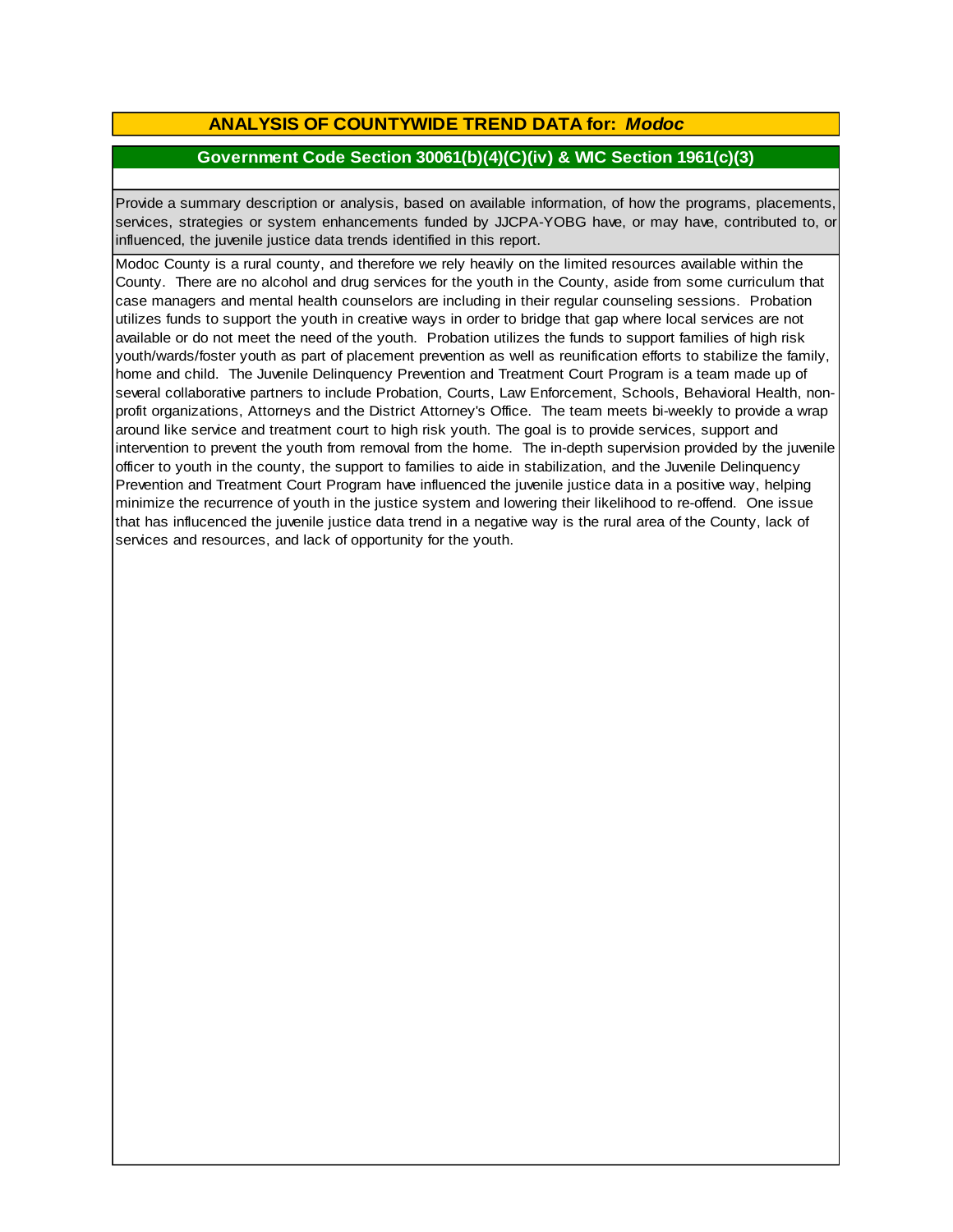# **ANALYSIS OF COUNTYWIDE TREND DATA for:** *Modoc*

### **Government Code Section 30061(b)(4)(C)(iv) & WIC Section 1961(c)(3)**

Provide <sup>a</sup> summary description or analysis, based on available information, of how the programs, placements, services, strategies or system enhancements funded by JJCPA-YOBG have, or may have, contributed to, or influenced, the juvenile justice data trends identified in this report.

Modoc County is a rural county, and therefore we rely heavily on the limited resources available within the County. There are no alcohol and drug services for the youth in the County, aside from some curriculum that case managers and mental health counselors are including in their regular counseling sessions. Probation utilizes funds to support the youth in creative ways in order to bridge that gap where local services are not available or do not meet the need of the youth. Probation utilizes the funds to support families of high risk youth/wards/foster youth as part of placement prevention as well as reunification efforts to stabilize the family, home and child. The Juvenile Delinquency Prevention and Treatment Court Program is a team made up of several collaborative partners to include Probation, Courts, Law Enforcement, Schools, Behavioral Health, nonprofit organizations, Attorneys and the District Attorney's Office. The team meets bi-weekly to provide a wrap around like service and treatment court to high risk youth. The goal is to provide services, support and intervention to prevent the youth from removal from the home. The in-depth supervision provided by the juvenile officer to youth in the county, the support to families to aide in stabilization, and the Juvenile Delinquency Prevention and Treatment Court Program have influenced the juvenile justice data in a positive way, helping minimize the recurrence of youth in the justice system and lowering their likelihood to re-offend. One issue that has influcenced the juvenile justice data trend in a negative way is the rural area of the County, lack of services and resources, and lack of opportunity for the youth.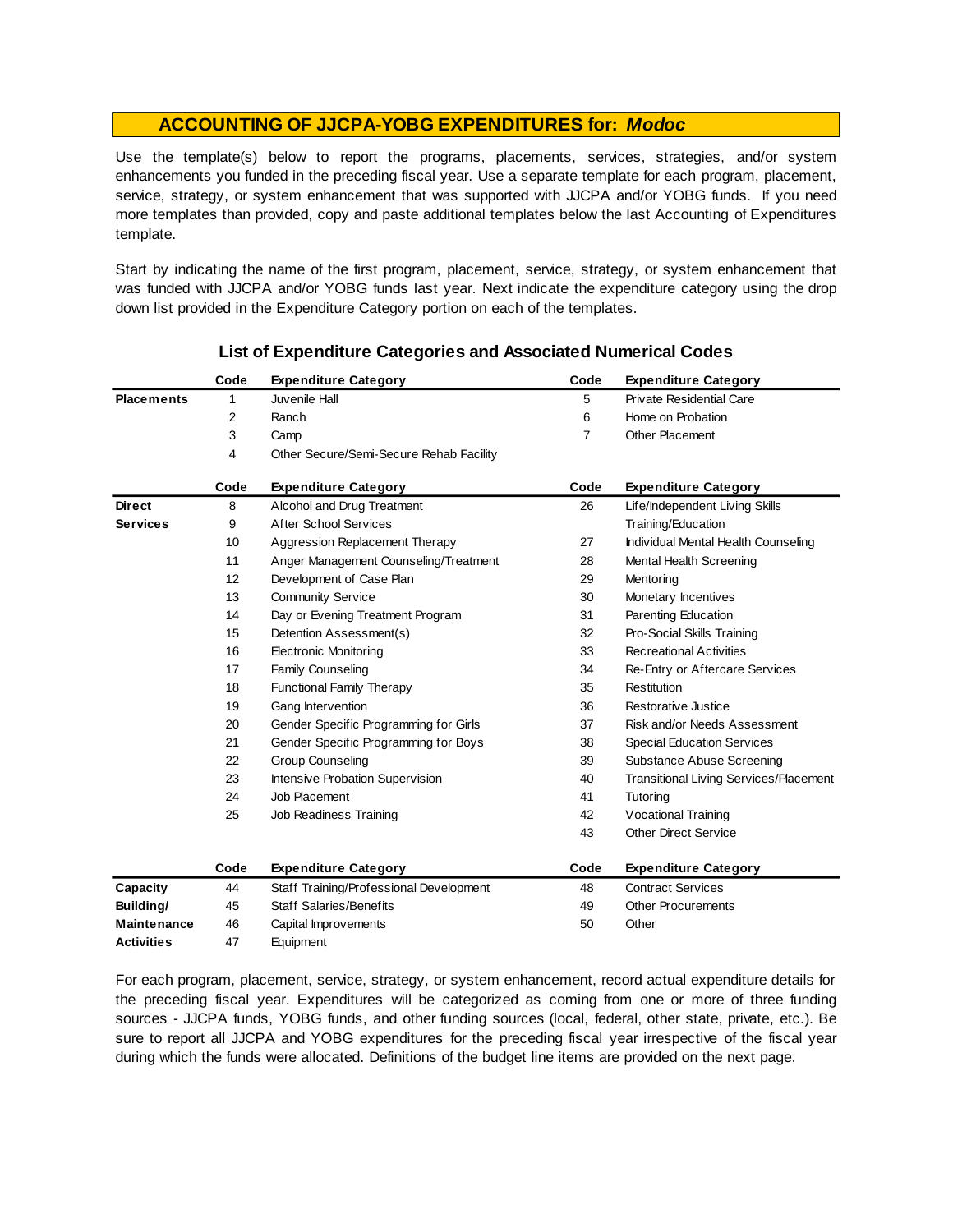Use the template(s) below to report the programs, placements, services, strategies, and/or system enhancements you funded in the preceding fiscal year. Use <sup>a</sup> separate template for each program, placement, service, strategy, or system enhancement that was supported with JJCPA and/or YOBG funds. If you need more templates than provided, copy and paste additional templates below the last Accounting of Expenditures template.

Start by indicating the name of the first program, placement, service, strategy, or system enhancement that was funded with JJCPA and/or YOBG funds last year. Next indicate the expenditure category using the drop down list provided in the Expenditure Category portion on each of the templates.

|                    | Code | <b>Expenditure Category</b>             | Code           | <b>Expenditure Category</b>                   |
|--------------------|------|-----------------------------------------|----------------|-----------------------------------------------|
| <b>Placements</b>  | 1    | Juvenile Hall                           | 5              | <b>Private Residential Care</b>               |
|                    | 2    | Ranch                                   | 6              | Home on Probation                             |
|                    | 3    | Camp                                    | $\overline{7}$ | Other Placement                               |
|                    | 4    | Other Secure/Semi-Secure Rehab Facility |                |                                               |
|                    | Code | <b>Expenditure Category</b>             | Code           | <b>Expenditure Category</b>                   |
| <b>Direct</b>      | 8    | Alcohol and Drug Treatment              | 26             | Life/Independent Living Skills                |
| <b>Services</b>    | 9    | <b>After School Services</b>            |                | Training/Education                            |
|                    | 10   | Aggression Replacement Therapy          | 27             | Individual Mental Health Counseling           |
|                    | 11   | Anger Management Counseling/Treatment   | 28             | Mental Health Screening                       |
|                    | 12   | Development of Case Plan                | 29             | Mentoring                                     |
|                    | 13   | <b>Community Service</b>                | 30             | Monetary Incentives                           |
|                    | 14   | Day or Evening Treatment Program        | 31             | Parenting Education                           |
|                    | 15   | Detention Assessment(s)                 | 32             | Pro-Social Skills Training                    |
|                    | 16   | <b>Electronic Monitoring</b>            | 33             | <b>Recreational Activities</b>                |
|                    | 17   | <b>Family Counseling</b>                | 34             | Re-Entry or Aftercare Services                |
|                    | 18   | <b>Functional Family Therapy</b>        | 35             | Restitution                                   |
|                    | 19   | Gang Intervention                       | 36             | Restorative Justice                           |
|                    | 20   | Gender Specific Programming for Girls   | 37             | Risk and/or Needs Assessment                  |
|                    | 21   | Gender Specific Programming for Boys    | 38             | <b>Special Education Services</b>             |
|                    | 22   | <b>Group Counseling</b>                 | 39             | Substance Abuse Screening                     |
|                    | 23   | Intensive Probation Supervision         | 40             | <b>Transitional Living Services/Placement</b> |
|                    | 24   | Job Placement                           | 41             | Tutoring                                      |
|                    | 25   | Job Readiness Training                  | 42             | Vocational Training                           |
|                    |      |                                         | 43             | <b>Other Direct Service</b>                   |
|                    | Code | <b>Expenditure Category</b>             | Code           | <b>Expenditure Category</b>                   |
| Capacity           | 44   | Staff Training/Professional Development | 48             | <b>Contract Services</b>                      |
| Building/          | 45   | <b>Staff Salaries/Benefits</b>          | 49             | <b>Other Procurements</b>                     |
| <b>Maintenance</b> | 46   | Capital Improvements                    | 50             | Other                                         |
| <b>Activities</b>  | 47   | Equipment                               |                |                                               |

### **List of Expenditure Categories and Associated Numerical Codes**

For each program, placement, service, strategy, or system enhancement, record actual expenditure details for the preceding fiscal year. Expenditures will be categorized as coming from one or more of three funding sources - JJCPA funds, YOBG funds, and other funding sources (local, federal, other state, private, etc.). Be sure to report all JJCPA and YOBG expenditures for the preceding fiscal year irrespective of the fiscal year during which the funds were allocated. Definitions of the budget line items are provided on the next page.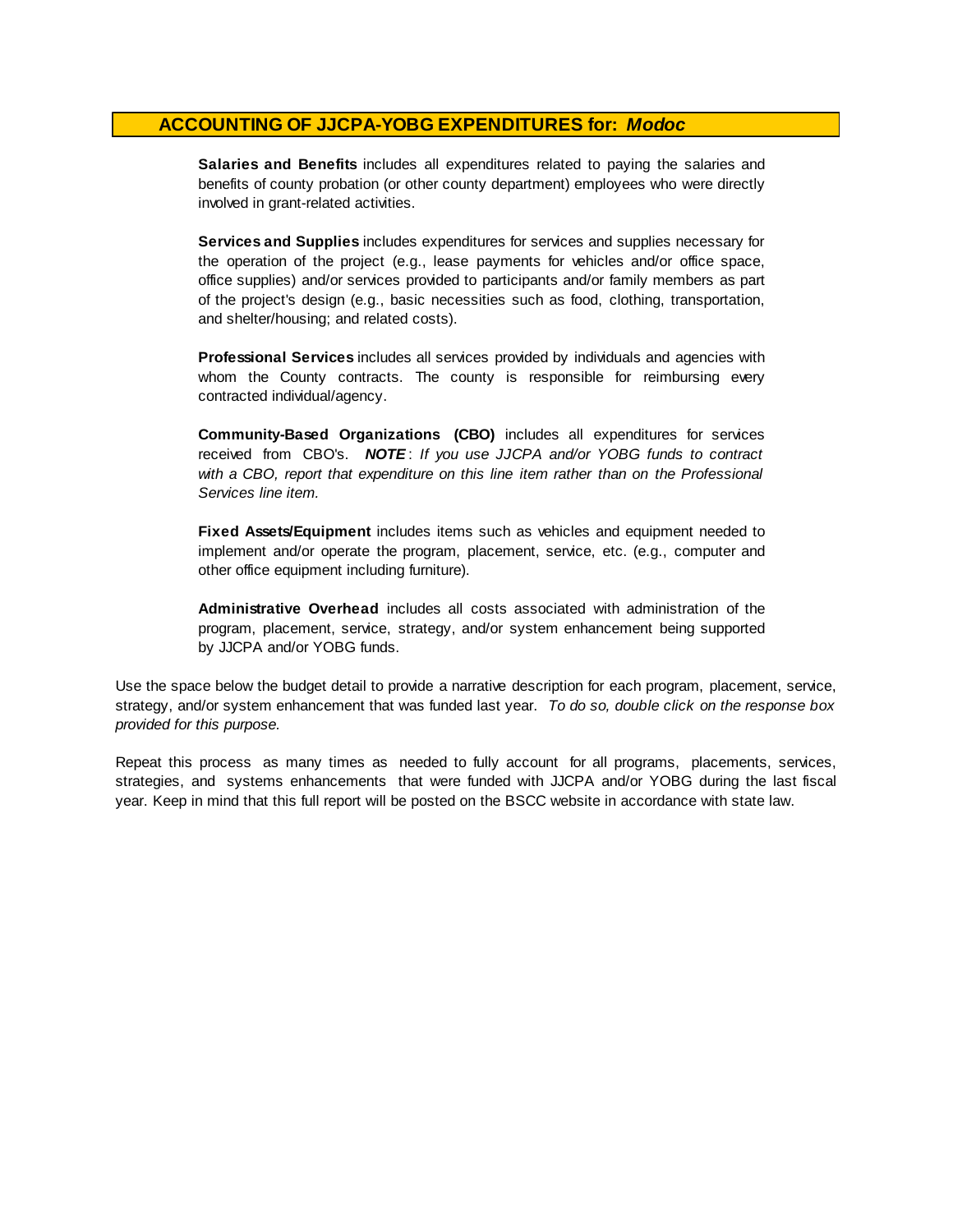**Salaries and Benefits** includes all expenditures related to paying the salaries and benefits of county probation (or other county department) employees who were directly involved in grant-related activities.

**Services and Supplies** includes expenditures for services and supplies necessary for the operation of the project (e.g., lease payments for vehicles and/or office space, office supplies) and/or services provided to participants and/or family members as part of the project's design (e.g., basic necessities such as food, clothing, transportation, and shelter/housing; and related costs).

**Professional Services** includes all services provided by individuals and agencies with whom the County contracts. The county is responsible for reimbursing every contracted individual/agency.

**Community-Based Organizations (CBO)** includes all expenditures for services received from CBO's. *NOTE* : *I f you use JJCPA and/or YOBG funds t o contract with <sup>a</sup> CBO, report that expenditure on this line item rather than on the Professional Services line item.*

**Fixed Assets/Equipment** includes items such as vehicles and equipment needed to implement and/or operate the program, placement, service, etc. (e.g., computer and other office equipment including furniture).

**Administrative Overhead** includes all costs associated with administration of the program, placement, service, strategy, and/or system enhancement being supported by JJCPA and/or YOBG funds.

Use the space below the budget detail to provide a narrative description for each program, placement, service, strategy, and/or system enhancement that was funded last year. *To do so, double click on the response box provided for this purpose.* 

Repeat this process as many times as needed to fully account for all programs, placements, services, strategies, and systems enhancements that were funded with JJCPA and/or YOBG during the last fiscal year. Keep in mind that this full report will be posted on the BSCC website in accordance with state law.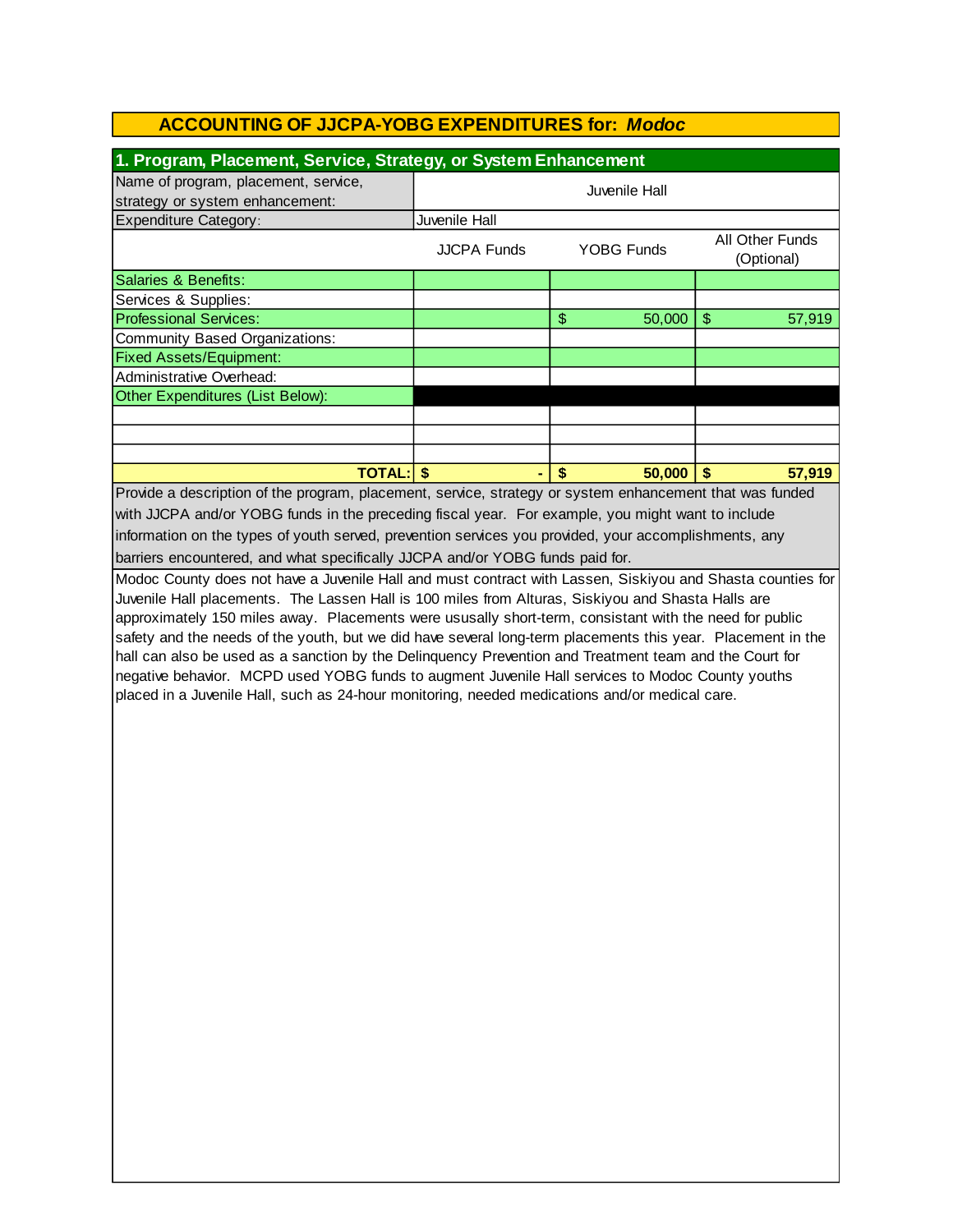| 1. Program, Placement, Service, Strategy, or System Enhancement                                                                                                                                                                                                                                                                                                                                                                                                                                                                       |                    |                                     |                                   |  |  |  |
|---------------------------------------------------------------------------------------------------------------------------------------------------------------------------------------------------------------------------------------------------------------------------------------------------------------------------------------------------------------------------------------------------------------------------------------------------------------------------------------------------------------------------------------|--------------------|-------------------------------------|-----------------------------------|--|--|--|
| Name of program, placement, service,                                                                                                                                                                                                                                                                                                                                                                                                                                                                                                  | Juvenile Hall      |                                     |                                   |  |  |  |
| strategy or system enhancement:                                                                                                                                                                                                                                                                                                                                                                                                                                                                                                       |                    |                                     |                                   |  |  |  |
| <b>Expenditure Category:</b>                                                                                                                                                                                                                                                                                                                                                                                                                                                                                                          | Juvenile Hall      |                                     |                                   |  |  |  |
|                                                                                                                                                                                                                                                                                                                                                                                                                                                                                                                                       | <b>JJCPA Funds</b> | <b>YOBG Funds</b>                   | All Other Funds<br>(Optional)     |  |  |  |
| Salaries & Benefits:                                                                                                                                                                                                                                                                                                                                                                                                                                                                                                                  |                    |                                     |                                   |  |  |  |
| Services & Supplies:                                                                                                                                                                                                                                                                                                                                                                                                                                                                                                                  |                    |                                     |                                   |  |  |  |
| <b>Professional Services:</b>                                                                                                                                                                                                                                                                                                                                                                                                                                                                                                         |                    | $\boldsymbol{\mathsf{S}}$<br>50,000 | $\sqrt[6]{\frac{1}{2}}$<br>57,919 |  |  |  |
| Community Based Organizations:                                                                                                                                                                                                                                                                                                                                                                                                                                                                                                        |                    |                                     |                                   |  |  |  |
| <b>Fixed Assets/Equipment:</b>                                                                                                                                                                                                                                                                                                                                                                                                                                                                                                        |                    |                                     |                                   |  |  |  |
| Administrative Overhead:                                                                                                                                                                                                                                                                                                                                                                                                                                                                                                              |                    |                                     |                                   |  |  |  |
| Other Expenditures (List Below):                                                                                                                                                                                                                                                                                                                                                                                                                                                                                                      |                    |                                     |                                   |  |  |  |
|                                                                                                                                                                                                                                                                                                                                                                                                                                                                                                                                       |                    |                                     |                                   |  |  |  |
|                                                                                                                                                                                                                                                                                                                                                                                                                                                                                                                                       |                    |                                     |                                   |  |  |  |
|                                                                                                                                                                                                                                                                                                                                                                                                                                                                                                                                       |                    |                                     |                                   |  |  |  |
| <b>TOTAL: \$</b>                                                                                                                                                                                                                                                                                                                                                                                                                                                                                                                      |                    | \$<br>50,000                        | \$<br>57,919                      |  |  |  |
| Provide a description of the program, placement, service, strategy or system enhancement that was funded                                                                                                                                                                                                                                                                                                                                                                                                                              |                    |                                     |                                   |  |  |  |
| with JJCPA and/or YOBG funds in the preceding fiscal year. For example, you might want to include                                                                                                                                                                                                                                                                                                                                                                                                                                     |                    |                                     |                                   |  |  |  |
| information on the types of youth served, prevention services you provided, your accomplishments, any                                                                                                                                                                                                                                                                                                                                                                                                                                 |                    |                                     |                                   |  |  |  |
| barriers encountered, and what specifically JJCPA and/or YOBG funds paid for.                                                                                                                                                                                                                                                                                                                                                                                                                                                         |                    |                                     |                                   |  |  |  |
| approximately 150 miles away. Placements were ususally short-term, consistant with the need for public<br>safety and the needs of the youth, but we did have several long-term placements this year. Placement in the<br>hall can also be used as a sanction by the Delinquency Prevention and Treatment team and the Court for<br>negative behavior. MCPD used YOBG funds to augment Juvenile Hall services to Modoc County youths<br>placed in a Juvenile Hall, such as 24-hour monitoring, needed medications and/or medical care. |                    |                                     |                                   |  |  |  |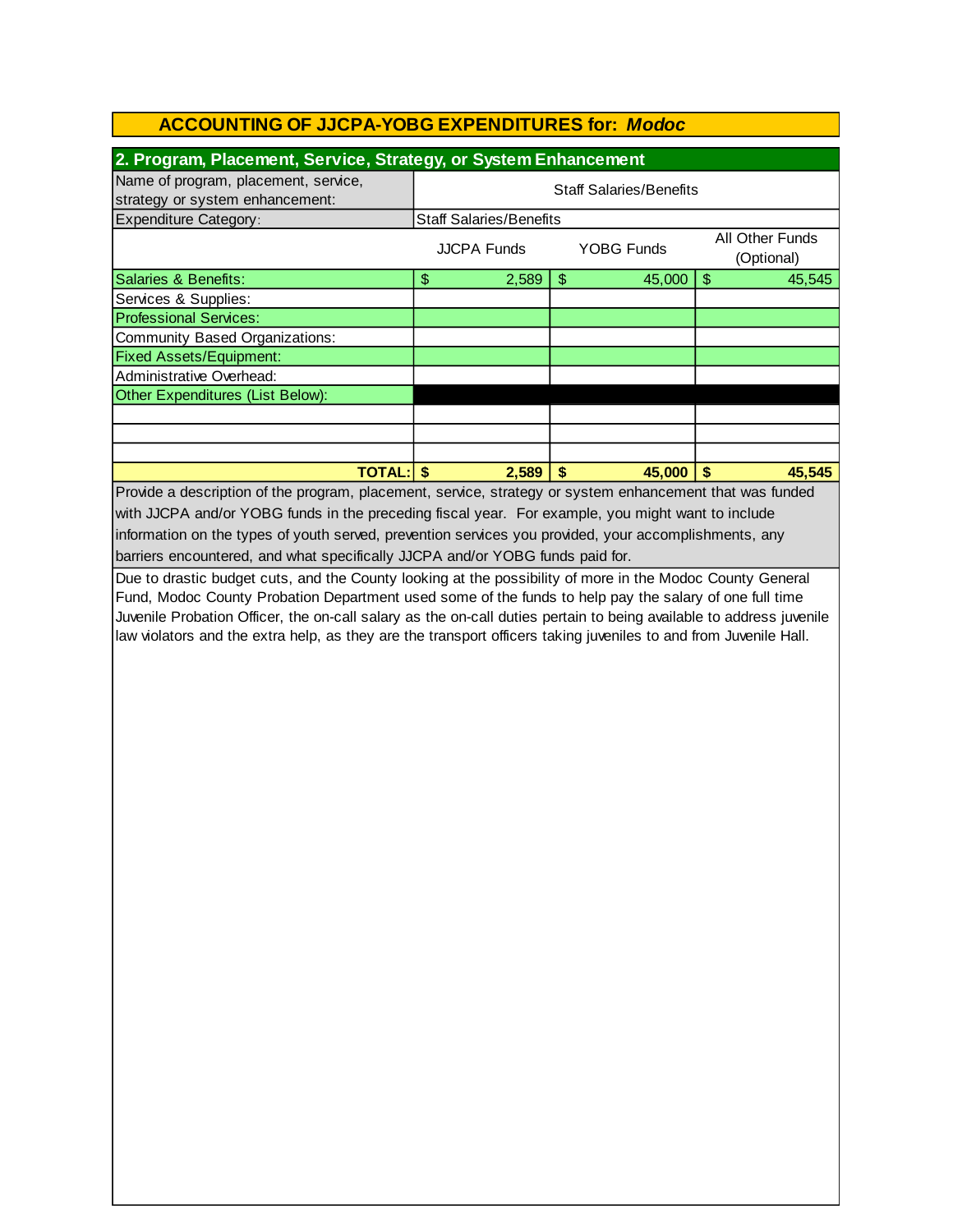| 2. Program, Placement, Service, Strategy, or System Enhancement                                                     |                                                                          |       |                       |        |               |        |
|---------------------------------------------------------------------------------------------------------------------|--------------------------------------------------------------------------|-------|-----------------------|--------|---------------|--------|
| Name of program, placement, service,                                                                                | <b>Staff Salaries/Benefits</b>                                           |       |                       |        |               |        |
| strategy or system enhancement:                                                                                     |                                                                          |       |                       |        |               |        |
| <b>Expenditure Category:</b>                                                                                        | <b>Staff Salaries/Benefits</b>                                           |       |                       |        |               |        |
|                                                                                                                     | All Other Funds<br><b>JJCPA Funds</b><br><b>YOBG Funds</b><br>(Optional) |       |                       |        |               |        |
| Salaries & Benefits:                                                                                                | $\boldsymbol{\$}$                                                        | 2,589 | $\boldsymbol{\theta}$ | 45,000 | $\frac{1}{2}$ | 45,545 |
| Services & Supplies:                                                                                                |                                                                          |       |                       |        |               |        |
| <b>Professional Services:</b>                                                                                       |                                                                          |       |                       |        |               |        |
| <b>Community Based Organizations:</b>                                                                               |                                                                          |       |                       |        |               |        |
| <b>Fixed Assets/Equipment:</b>                                                                                      |                                                                          |       |                       |        |               |        |
| Administrative Overhead:                                                                                            |                                                                          |       |                       |        |               |        |
| Other Expenditures (List Below):                                                                                    |                                                                          |       |                       |        |               |        |
|                                                                                                                     |                                                                          |       |                       |        |               |        |
|                                                                                                                     |                                                                          |       |                       |        |               |        |
|                                                                                                                     |                                                                          |       |                       |        |               |        |
| <b>TOTAL: \$</b>                                                                                                    |                                                                          | 2,589 | \$                    | 45,000 | $\sqrt[6]{3}$ | 45,545 |
| Provide a description of the program, placement, service, strategy or system enhancement that was funded            |                                                                          |       |                       |        |               |        |
| with JJCPA and/or YOBG funds in the preceding fiscal year. For example, you might want to include                   |                                                                          |       |                       |        |               |        |
| information on the types of youth served, prevention services you provided, your accomplishments, any               |                                                                          |       |                       |        |               |        |
| barriers encountered, and what specifically JJCPA and/or YOBG funds paid for.                                       |                                                                          |       |                       |        |               |        |
| Due to drastic budget cuts, and the County looking at the possibility of more in the Modoc County General           |                                                                          |       |                       |        |               |        |
| Fund, Modoc County Probation Department used some of the funds to help pay the salary of one full time              |                                                                          |       |                       |        |               |        |
| Juvenile Probation Officer, the on-call salary as the on-call duties pertain to being available to address juvenile |                                                                          |       |                       |        |               |        |
| law violators and the extra help, as they are the transport officers taking juveniles to and from Juvenile Hall.    |                                                                          |       |                       |        |               |        |
|                                                                                                                     |                                                                          |       |                       |        |               |        |
|                                                                                                                     |                                                                          |       |                       |        |               |        |
|                                                                                                                     |                                                                          |       |                       |        |               |        |
|                                                                                                                     |                                                                          |       |                       |        |               |        |
|                                                                                                                     |                                                                          |       |                       |        |               |        |
|                                                                                                                     |                                                                          |       |                       |        |               |        |
|                                                                                                                     |                                                                          |       |                       |        |               |        |
|                                                                                                                     |                                                                          |       |                       |        |               |        |
|                                                                                                                     |                                                                          |       |                       |        |               |        |
|                                                                                                                     |                                                                          |       |                       |        |               |        |
|                                                                                                                     |                                                                          |       |                       |        |               |        |
|                                                                                                                     |                                                                          |       |                       |        |               |        |
|                                                                                                                     |                                                                          |       |                       |        |               |        |
|                                                                                                                     |                                                                          |       |                       |        |               |        |
|                                                                                                                     |                                                                          |       |                       |        |               |        |
|                                                                                                                     |                                                                          |       |                       |        |               |        |
|                                                                                                                     |                                                                          |       |                       |        |               |        |
|                                                                                                                     |                                                                          |       |                       |        |               |        |
|                                                                                                                     |                                                                          |       |                       |        |               |        |
|                                                                                                                     |                                                                          |       |                       |        |               |        |
|                                                                                                                     |                                                                          |       |                       |        |               |        |
|                                                                                                                     |                                                                          |       |                       |        |               |        |
|                                                                                                                     |                                                                          |       |                       |        |               |        |
|                                                                                                                     |                                                                          |       |                       |        |               |        |
|                                                                                                                     |                                                                          |       |                       |        |               |        |
|                                                                                                                     |                                                                          |       |                       |        |               |        |
|                                                                                                                     |                                                                          |       |                       |        |               |        |
|                                                                                                                     |                                                                          |       |                       |        |               |        |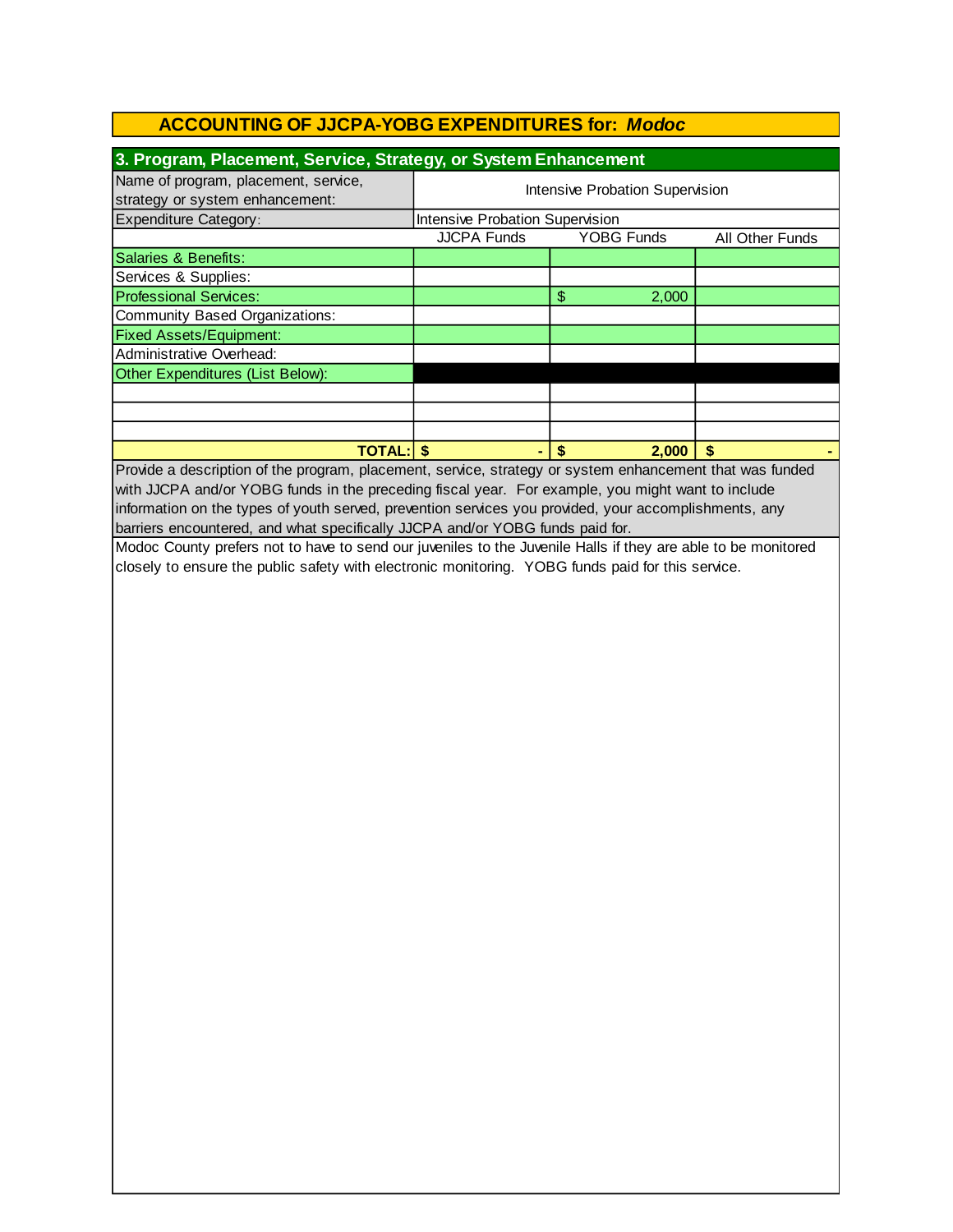| 3. Program, Placement, Service, Strategy, or System Enhancement         |                                        |                   |                 |  |  |  |
|-------------------------------------------------------------------------|----------------------------------------|-------------------|-----------------|--|--|--|
| Name of program, placement, service,<br>strategy or system enhancement: | <b>Intensive Probation Supervision</b> |                   |                 |  |  |  |
| <b>Expenditure Category:</b>                                            | Intensive Probation Supervision        |                   |                 |  |  |  |
|                                                                         | <b>JJCPA Funds</b>                     | <b>YOBG Funds</b> | All Other Funds |  |  |  |
| Salaries & Benefits:                                                    |                                        |                   |                 |  |  |  |
| Services & Supplies:                                                    |                                        |                   |                 |  |  |  |
| <b>Professional Services:</b>                                           |                                        | \$<br>2,000       |                 |  |  |  |
| Community Based Organizations:                                          |                                        |                   |                 |  |  |  |
| <b>Fixed Assets/Equipment:</b>                                          |                                        |                   |                 |  |  |  |
| Administrative Overhead:                                                |                                        |                   |                 |  |  |  |
| Other Expenditures (List Below):                                        |                                        |                   |                 |  |  |  |
|                                                                         |                                        |                   |                 |  |  |  |
|                                                                         |                                        |                   |                 |  |  |  |
|                                                                         |                                        |                   |                 |  |  |  |
| <b>TOTAL:IS</b><br>2.000<br>S<br>S                                      |                                        |                   |                 |  |  |  |

barriers encountered, and what specifically JJCPA and/or YOBG funds paid for. information on the types of youth served, prevention services you provided, your accomplishments, any Provide a description of the program, placement, service, strategy or system enhancement that was funded with JJCPA and/or YOBG funds in the preceding fiscal year. For example, you might want to include

Modoc County prefers not to have to send our juveniles to the Juvenile Halls if they are able to be monitored closely to ensure the public safety with electronic monitoring. YOBG funds paid for this service.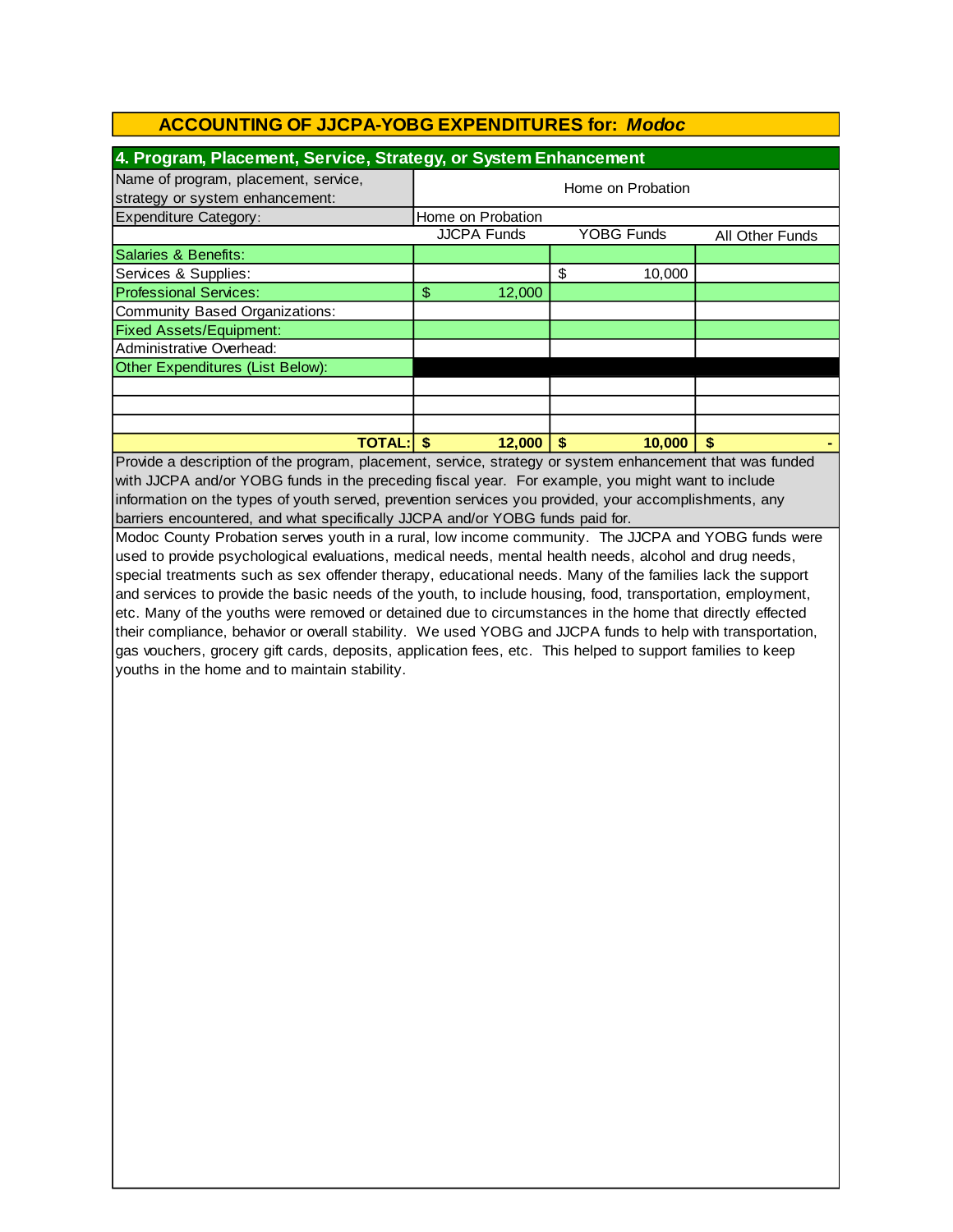| 4. Program, Placement, Service, Strategy, or System Enhancement         |                   |                    |    |                   |                 |  |  |
|-------------------------------------------------------------------------|-------------------|--------------------|----|-------------------|-----------------|--|--|
| Name of program, placement, service,<br>strategy or system enhancement: | Home on Probation |                    |    |                   |                 |  |  |
| <b>Expenditure Category:</b>                                            | Home on Probation |                    |    |                   |                 |  |  |
|                                                                         |                   | <b>JJCPA Funds</b> |    | <b>YOBG Funds</b> | All Other Funds |  |  |
| Salaries & Benefits:                                                    |                   |                    |    |                   |                 |  |  |
| Services & Supplies:                                                    |                   |                    | \$ | 10.000            |                 |  |  |
| <b>Professional Services:</b>                                           | \$                | 12,000             |    |                   |                 |  |  |
| Community Based Organizations:                                          |                   |                    |    |                   |                 |  |  |
| <b>Fixed Assets/Equipment:</b>                                          |                   |                    |    |                   |                 |  |  |
| Administrative Overhead:                                                |                   |                    |    |                   |                 |  |  |
| Other Expenditures (List Below):                                        |                   |                    |    |                   |                 |  |  |
|                                                                         |                   |                    |    |                   |                 |  |  |
|                                                                         |                   |                    |    |                   |                 |  |  |
|                                                                         |                   |                    |    |                   |                 |  |  |
| <b>TOTAL:</b>                                                           |                   | 12.000             | S  | 10.000            | S               |  |  |

Provide a description of the program, placement, service, strategy or system enhancement that was funded with JJCPA and/or YOBG funds in the preceding fiscal year. For example, you might want to include information on the types of youth served, prevention services you provided, your accomplishments, any barriers encountered, and what specifically JJCPA and/or YOBG funds paid for.

Modoc County Probation serves youth in a rural, low income community. The JJCPA and YOBG funds were used to provide psychological evaluations, medical needs, mental health needs, alcohol and drug needs, special treatments such as sex offender therapy, educational needs. Many of the families lack the support and services to provide the basic needs of the youth, to include housing, food, transportation, employment, etc. Many of the youths were removed or detained due to circumstances in the home that directly effected their compliance, behavior or overall stability. We used YOBG and JJCPA funds to help with transportation, gas vouchers, grocery gift cards, deposits, application fees, etc. This helped to support families to keep youths in the home and to maintain stability.